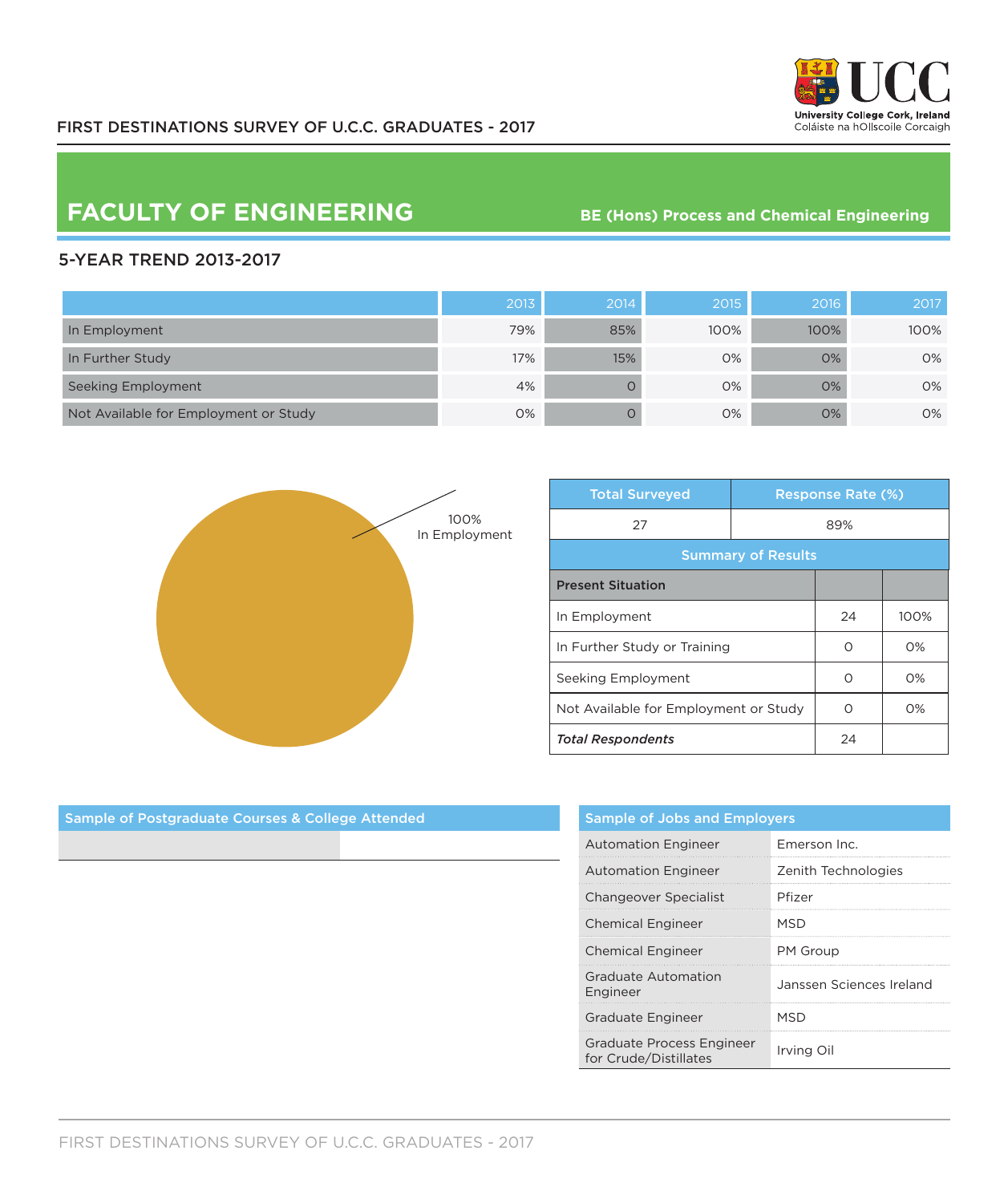

## **FACULTY OF ENGINEERING** BE (Hons) Process and Chemical Engineering

## 5-YEAR TREND 2013-2017

|                                       | 2013 | 2014 | 2015' | 2016 | 2017 |
|---------------------------------------|------|------|-------|------|------|
| In Employment                         | 79%  | 85%  | 100%  | 100% | 100% |
| In Further Study                      | 17%  | 15%  | 0%    | 0%   | 0%   |
| Seeking Employment                    | 4%   |      | 0%    | 0%   | 0%   |
| Not Available for Employment or Study | 0%   |      | 0%    | 0%   | 0%   |



| <b>Total Surveyed</b>                 |     | <b>Response Rate (%)</b> |       |  |
|---------------------------------------|-----|--------------------------|-------|--|
| 27                                    | 89% |                          |       |  |
| <b>Summary of Results</b>             |     |                          |       |  |
| <b>Present Situation</b>              |     |                          |       |  |
| In Employment                         |     | 24                       | 100%  |  |
| In Further Study or Training          |     | ∩                        | $O\%$ |  |
| Seeking Employment                    |     | Ω                        | $O\%$ |  |
| Not Available for Employment or Study |     | Ω                        | O%    |  |
| <b>Total Respondents</b>              |     | 24                       |       |  |

| <b>Sample of Jobs and Employers</b>                |                          |  |  |  |
|----------------------------------------------------|--------------------------|--|--|--|
| <b>Automation Engineer</b>                         | Emerson Inc.             |  |  |  |
| <b>Automation Engineer</b>                         | Zenith Technologies      |  |  |  |
| <b>Changeover Specialist</b>                       | Pfizer                   |  |  |  |
| <b>Chemical Engineer</b>                           | MSD                      |  |  |  |
| <b>Chemical Engineer</b>                           | PM Group                 |  |  |  |
| Graduate Automation<br>Engineer                    | Janssen Sciences Ireland |  |  |  |
| Graduate Engineer                                  | MSD                      |  |  |  |
| Graduate Process Engineer<br>for Crude/Distillates | Irving Oil               |  |  |  |

Sample of Postgraduate Courses & College Attended